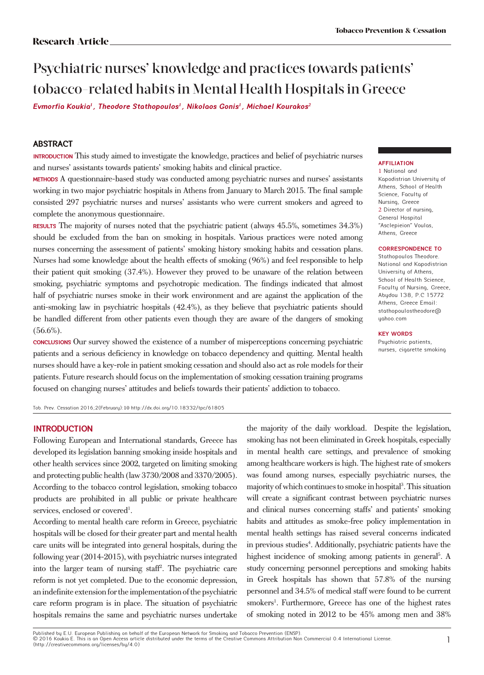# Psychiatric nurses' knowledge and practices towards patients' tobacco-related habits in Mental Health Hospitals in Greece

**evmorfia Koukia** *1* **, theodore stathopoulos** *1* **, nikolaos Gonis** *1* **, Michael Kourakos** *2*

## **Abstract**

**Introduction** This study aimed to investigate the knowledge, practices and belief of psychiatric nurses and nurses' assistants towards patients' smoking habits and clinical practice.

**Methods** A questionnaire-based study was conducted among psychiatric nurses and nurses' assistants working in two major psychiatric hospitals in Athens from January to March 2015. The final sample consisted 297 psychiatric nurses and nurses' assistants who were current smokers and agreed to complete the anonymous questionnaire.

**Results** The majority of nurses noted that the psychiatric patient (always 45.5%, sometimes 34.3%) should be excluded from the ban on smoking in hospitals. Various practices were noted among nurses concerning the assessment of patients' smoking history smoking habits and cessation plans. Nurses had some knowledge about the health effects of smoking (96%) and feel responsible to help their patient quit smoking (37.4%). However they proved to be unaware of the relation between smoking, psychiatric symptoms and psychotropic medication. The findings indicated that almost half of psychiatric nurses smoke in their work environment and are against the application of the anti-smoking law in psychiatric hospitals (42.4%), as they believe that psychiatric patients should be handled different from other patients even though they are aware of the dangers of smoking  $(56.6\%)$ .

**Conclusions** Our survey showed the existence of a number of misperceptions concerning psychiatric patients and a serious deficiency in knowledge on tobacco dependency and quitting. Mental health nurses should have a key-role in patient smoking cessation and should also act as role models for their patients. Future research should focus on the implementation of smoking cessation training programs focused on changing nurses' attitudes and beliefs towards their patients' addiction to tobacco.

Tob. Prev. Cessation 2016;2(February):10 http://dx.doi.org/10.18332/tpc/61805

## **INTRODUCTION**

Following European and International standards, Greece has developed its legislation banning smoking inside hospitals and other health services since 2002, targeted on limiting smoking and protecting public health (law 3730/2008 and 3370/2005). According to the tobacco control legislation, smoking tobacco products are prohibited in all public or private healthcare services, enclosed or covered<sup>1</sup>.

According to mental health care reform in Greece, psychiatric hospitals will be closed for their greater part and mental health care units will be integrated into general hospitals, during the following year (2014-2015), with psychiatric nurses integrated into the larger team of nursing staff2 . The psychiatric care reform is not yet completed. Due to the economic depression, an indefinite extension for the implementation of the psychiatric care reform program is in place. The situation of psychiatric hospitals remains the same and psychiatric nurses undertake

the majority of the daily workload. Despite the legislation, smoking has not been eliminated in Greek hospitals, especially in mental health care settings, and prevalence of smoking among healthcare workers is high. The highest rate of smokers was found among nurses, especially psychiatric nurses, the majority of which continues to smoke in hospital<sup>3</sup>. This situation will create a significant contrast between psychiatric nurses and clinical nurses concerning staffs' and patients' smoking habits and attitudes as smoke-free policy implementation in mental health settings has raised several concerns indicated in previous studies<sup>4</sup>. Additionally, psychiatric patients have the highest incidence of smoking among patients in general<sup>5</sup>. A study concerning personnel perceptions and smoking habits in Greek hospitals has shown that 57.8% of the nursing personnel and 34.5% of medical staff were found to be current smokers<sup>1</sup>. Furthermore, Greece has one of the highest rates of smoking noted in 2012 to be 45% among men and 38%

#### **AFFIlIAtIon**

1 National and Kapodistrian University of Athens, School of Health Science, Faculty of Nursing, Greece 2 Director of nursing, General Hospital "Asclepieion" Voulas, Athens, Greece

#### **CORRESPONDENCE TO**

Stathopoulos Theodore. National and Kapodistrian University of Athens, School of Health Science Faculty of Nursing, Greece, Abydou 138, P.C 15772 Athens, Greece Email: stathopoulostheodore@ yahoo.com

#### **KEY WORDS**

Psychiatric patients, nurses, cigarette smoking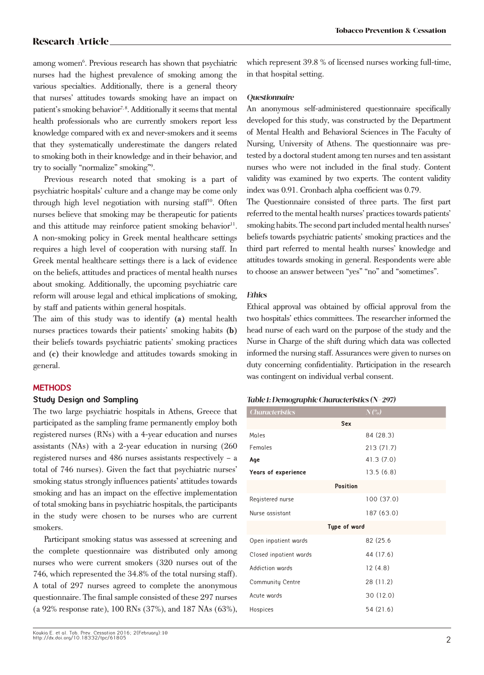among women<sup>6</sup>. Previous research has shown that psychiatric nurses had the highest prevalence of smoking among the various specialties. Additionally, there is a general theory that nurses' attitudes towards smoking have an impact on patient's smoking behavior<sup>7,8</sup>. Additionally it seems that mental health professionals who are currently smokers report less knowledge compared with ex and never-smokers and it seems that they systematically underestimate the dangers related to smoking both in their knowledge and in their behavior, and try to socially "normalize" smoking"9 .

Previous research noted that smoking is a part of psychiatric hospitals' culture and a change may be come only through high level negotiation with nursing staff<sup>10</sup>. Often nurses believe that smoking may be therapeutic for patients and this attitude may reinforce patient smoking behavior $11$ . A non-smoking policy in Greek mental healthcare settings requires a high level of cooperation with nursing staff. In Greek mental healthcare settings there is a lack of evidence on the beliefs, attitudes and practices of mental health nurses about smoking. Additionally, the upcoming psychiatric care reform will arouse legal and ethical implications of smoking, by staff and patients within general hospitals.

The aim of this study was to identify **(a)** mental health nurses practices towards their patients' smoking habits **(b)** their beliefs towards psychiatric patients' smoking practices and **(c)** their knowledge and attitudes towards smoking in general.

#### **METHODS**

#### **Study Design and Sampling**

The two large psychiatric hospitals in Athens, Greece that participated as the sampling frame permanently employ both registered nurses (RNs) with a 4-year education and nurses assistants (NAs) with a 2-year education in nursing (260 registered nurses and 486 nurses assistants respectively – a total of 746 nurses). Given the fact that psychiatric nurses' smoking status strongly influences patients' attitudes towards smoking and has an impact on the effective implementation of total smoking bans in psychiatric hospitals, the participants in the study were chosen to be nurses who are current smokers.

Participant smoking status was assessed at screening and the complete questionnaire was distributed only among nurses who were current smokers (320 nurses out of the 746, which represented the 34.8% of the total nursing staff). A total of 297 nurses agreed to complete the anonymous questionnaire. The final sample consisted of these 297 nurses (a 92% response rate), 100 RNs (37%), and 187 NAs (63%), which represent 39.8 % of licensed nurses working full-time, in that hospital setting.

#### *Questionnaire*

An anonymous self-administered questionnaire specifically developed for this study, was constructed by the Department of Mental Health and Behavioral Sciences in The Faculty of Nursing, University of Athens. The questionnaire was pretested by a doctoral student among ten nurses and ten assistant nurses who were not included in the final study. Content validity was examined by two experts. The content validity index was 0.91. Cronbach alpha coefficient was 0.79.

The Questionnaire consisted of three parts. The first part referred to the mental health nurses' practices towards patients' smoking habits. The second part included mental health nurses' beliefs towards psychiatric patients' smoking practices and the third part referred to mental health nurses' knowledge and attitudes towards smoking in general. Respondents were able to choose an answer between "yes" "no" and "sometimes".

#### *Ethics*

Ethical approval was obtained by official approval from the two hospitals' ethics committees. The researcher informed the head nurse of each ward on the purpose of the study and the Nurse in Charge of the shift during which data was collected informed the nursing staff. Assurances were given to nurses on duty concerning confidentiality. Participation in the research was contingent on individual verbal consent.

#### *Table 1: Demographic Characteristics (N=297)*

| <b>Characteristics</b> | $N\binom{0}{0}$ |  |  |
|------------------------|-----------------|--|--|
| <b>Sex</b>             |                 |  |  |
| Moles                  | 84 (28.3)       |  |  |
| Femoles                | 213(71.7)       |  |  |
| Age                    | 41.3(7.0)       |  |  |
| Years of experience    | 13.5(6.8)       |  |  |
| <b>Position</b>        |                 |  |  |
| Registered nurse       | 100(37.0)       |  |  |
| Nurse ossistont        | 187(63.0)       |  |  |
| Type of ward           |                 |  |  |
| Open inpatient wards   | 82 (25.6)       |  |  |
| Closed inpatient wards | 44 (17.6)       |  |  |
| Addiction words        | 12(4.8)         |  |  |
| Community Centre       | 28 (11.2)       |  |  |
| Acute words            | 30(12.0)        |  |  |
| Hospices               | 54(21.6)        |  |  |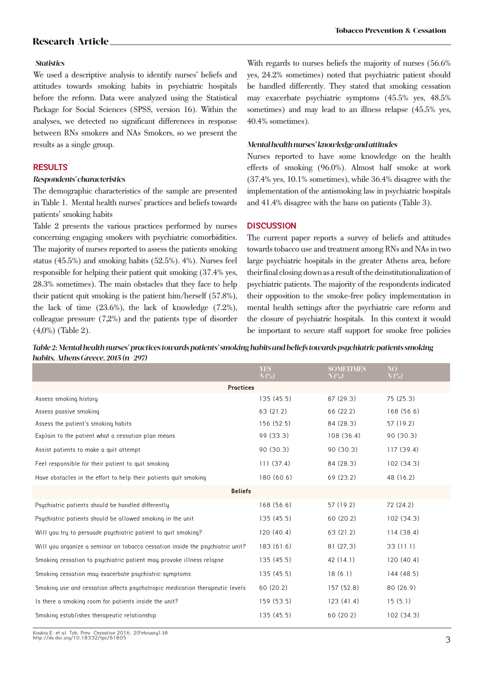#### *Statistics*

We used a descriptive analysis to identify nurses' beliefs and attitudes towards smoking habits in psychiatric hospitals before the reform. Data were analyzed using the Statistical Package for Social Sciences (SPSS, version 16). Within the analyses, we detected no significant differences in response between RNs smokers and NAs Smokers, so we present the results as a single group.

#### **RESULTS**

#### *Respondents' characteristics*

The demographic characteristics of the sample are presented in Table 1. Mental health nurses' practices and beliefs towards patients' smoking habits

Table 2 presents the various practices performed by nurses concerning engaging smokers with psychiatric comorbidities. The majority of nurses reported to assess the patients smoking status (45.5%) and smoking habits (52.5%). 4%). Nurses feel responsible for helping their patient quit smoking (37.4% yes, 28.3% sometimes). The main obstacles that they face to help their patient quit smoking is the patient him/herself (57.8%), the lack of time (23.6%), the lack of knowledge (7.2%), colleague pressure (7,2%) and the patients type of disorder (4,0%) (Table 2).

With regards to nurses beliefs the majority of nurses (56.6% yes, 24.2% sometimes) noted that psychiatric patient should be handled differently. They stated that smoking cessation may exacerbate psychiatric symptoms (45.5% yes, 48.5% sometimes) and may lead to an illness relapse (45.5% yes, 40.4% sometimes).

### *Mental health nurses' knowledge and attitudes*

Nurses reported to have some knowledge on the health effects of smoking (96.0%). Almost half smoke at work (37.4% yes, 10.1% sometimes), while 36.4% disagree with the implementation of the antismoking law in psychiatric hospitals and 41.4% disagree with the bans on patients (Table 3).

#### **DISCUSSION**

The current paper reports a survey of beliefs and attitudes towards tobacco use and treatment among RNs and NAs in two large psychiatric hospitals in the greater Athens area, before their final closing down as a result of the deinstitutionalization of psychiatric patients. The majority of the respondents indicated their opposition to the smoke-free policy implementation in mental health settings after the psychiatric care reform and the closure of psychiatric hospitals. In this context it would be important to secure staff support for smoke free policies

*Table 2: Mental health nurses' practices towards patients' smoking habits and beliefs towards psychiatric patients smoking habits, Athens Greece, 2015 (n=297)*

|                                                                               | <b>YES</b><br>N(%) | <b>SOMETIMES</b><br>$N\binom{o}{o}$ | NO <sub>1</sub><br>$N(\%)$ |  |  |
|-------------------------------------------------------------------------------|--------------------|-------------------------------------|----------------------------|--|--|
| <b>Proctices</b>                                                              |                    |                                     |                            |  |  |
| Assess smoking history                                                        | 135(45.5)          | 87 (29.3)                           | 75 (25.3)                  |  |  |
| Assess possive smoking                                                        | 63(21.2)           | 66 (22.2)                           | 168(56.6)                  |  |  |
| Assess the patient's smoking habits                                           | 156(52.5)          | 84 (28.3)                           | 57 (19.2)                  |  |  |
| Explain to the patient what a cessation plan means                            | 99 (33.3)          | 108(36.4)                           | 90(30.3)                   |  |  |
| Assist patients to make a quit attempt                                        | 90(30.3)           | 90(30.3)                            | 117(39.4)                  |  |  |
| Feel responsible for their potient to quit smoking                            | 111(37.4)          | 84 (28.3)                           | 102(34.3)                  |  |  |
| Have obstacles in the effort to help their patients quit smoking              | 180(60.6)          | 69 (23.2)                           | 48 (16.2)                  |  |  |
| <b>Beliefs</b>                                                                |                    |                                     |                            |  |  |
| Psychiatric patients should be handled differently                            | 168(56.6)          | 57 (19.2)                           | 72 (24.2)                  |  |  |
| Psychiatric patients should be allowed smoking in the unit                    | 135(45.5)          | 60(20.2)                            | 102(34.3)                  |  |  |
| Will you try to persuade psychiatric patient to quit smoking?                 | 120(40.4)          | 63(21.2)                            | 114(38.4)                  |  |  |
| Will you organize a seminar on tobacco cessation inside the psychiatric unit? | 183(61.6)          | 81(27,3)                            | 33(11.1)                   |  |  |
| Smoking cessation to psychiatric patient may provoke illness relapse          | 135(45.5)          | 42 (14.1)                           | 120(40.4)                  |  |  |
| Smoking cessation may exacerbate psychiatric symptoms                         | 135(45.5)          | 18(6.1)                             | 144(48.5)                  |  |  |
| Smoking use and cessation affects psychotropic medication therapeutic levels  | 60(20.2)           | 157(52.8)                           | 80(26.9)                   |  |  |
| Is there a smoking room for patients inside the unit?                         | 159 (53.5)         | 123(41.4)                           | 15(5.1)                    |  |  |
| Smoking establishes therapeutic relationship                                  | 135 (45.5)         | 60 (20.2)                           | 102 (34.3)                 |  |  |

Koukia E. et al. Tob. Prev. Cessation 2016; 2(February):10<br>http://dx.doi.org/10.18332/tpc/61805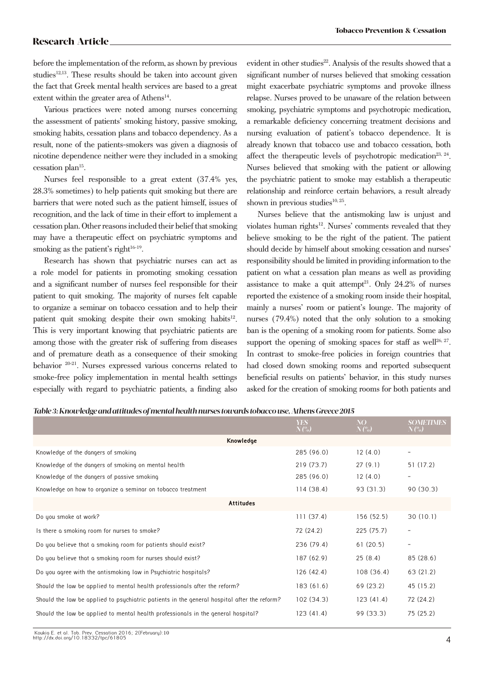before the implementation of the reform, as shown by previous studies $12,13$ . These results should be taken into account given the fact that Greek mental health services are based to a great extent within the greater area of Athens<sup>14</sup>.

Various practices were noted among nurses concerning the assessment of patients' smoking history, passive smoking, smoking habits, cessation plans and tobacco dependency. As a result, none of the patients-smokers was given a diagnosis of nicotine dependence neither were they included in a smoking cessation plan<sup>15</sup>.

Nurses feel responsible to a great extent (37.4% yes, 28.3% sometimes) to help patients quit smoking but there are barriers that were noted such as the patient himself, issues of recognition, and the lack of time in their effort to implement a cessation plan. Other reasons included their belief that smoking may have a therapeutic effect on psychiatric symptoms and smoking as the patient's right $16-19$ .

Research has shown that psychiatric nurses can act as a role model for patients in promoting smoking cessation and a significant number of nurses feel responsible for their patient to quit smoking. The majority of nurses felt capable to organize a seminar on tobacco cessation and to help their patient quit smoking despite their own smoking habits<sup>12</sup>. This is very important knowing that psychiatric patients are among those with the greater risk of suffering from diseases and of premature death as a consequence of their smoking behavior 20-21. Nurses expressed various concerns related to smoke-free policy implementation in mental health settings especially with regard to psychiatric patients, a finding also

evident in other studies<sup>22</sup>. Analysis of the results showed that a significant number of nurses believed that smoking cessation might exacerbate psychiatric symptoms and provoke illness relapse. Nurses proved to be unaware of the relation between smoking, psychiatric symptoms and psychotropic medication, a remarkable deficiency concerning treatment decisions and nursing evaluation of patient's tobacco dependence. It is already known that tobacco use and tobacco cessation, both affect the therapeutic levels of psychotropic medication<sup>23, 24</sup>. Nurses believed that smoking with the patient or allowing the psychiatric patient to smoke may establish a therapeutic relationship and reinforce certain behaviors, a result already shown in previous studies $10, 25$ .

Nurses believe that the antismoking law is unjust and violates human rights<sup>12</sup>. Nurses' comments revealed that they believe smoking to be the right of the patient. The patient should decide by himself about smoking cessation and nurses' responsibility should be limited in providing information to the patient on what a cessation plan means as well as providing assistance to make a quit attempt<sup>21</sup>. Only  $24.2\%$  of nurses reported the existence of a smoking room inside their hospital, mainly a nurses' room or patient's lounge. The majority of nurses (79.4%) noted that the only solution to a smoking ban is the opening of a smoking room for patients. Some also support the opening of smoking spaces for staff as well $^{26, 27}$ . In contrast to smoke-free policies in foreign countries that had closed down smoking rooms and reported subsequent beneficial results on patients' behavior, in this study nurses asked for the creation of smoking rooms for both patients and

*Table 3: Knowledge and attitudes of mental health nurses towards tobacco use, Athens Greece 2015*

|                                                                                             | <b>YES</b><br>$N(\%)$ | <b>NO</b><br>$N(\%)$ | <b>SOMETIMES</b><br>$N(\%)$ |  |  |
|---------------------------------------------------------------------------------------------|-----------------------|----------------------|-----------------------------|--|--|
| Knowledge                                                                                   |                       |                      |                             |  |  |
| Knowledge of the dangers of smoking                                                         | 285(96.0)             | 12(4.0)              | $\overline{\phantom{a}}$    |  |  |
| Knowledge of the dangers of smoking on mental health                                        | 219(73.7)             | 27(9.1)              | 51 (17.2)                   |  |  |
| Knowledge of the dangers of passive smoking                                                 | 285 (96.0)            | 12(4.0)              | $\overline{\phantom{a}}$    |  |  |
| Knowledge on how to organize a seminar on tobacco treatment                                 | 114(38.4)             | 93(31.3)             | 90(30.3)                    |  |  |
| <b>Attitudes</b>                                                                            |                       |                      |                             |  |  |
| Do you smoke at work?                                                                       | 111(37.4)             | 156(52.5)            | 30(10.1)                    |  |  |
| Is there a smoking room for nurses to smoke?                                                | 72 (24.2)             | 225(75.7)            | $\overline{\phantom{a}}$    |  |  |
| Do you believe that a smoking room for patients should exist?                               | 236 (79.4)            | 61(20.5)             | $\overline{\phantom{a}}$    |  |  |
| Do you believe that a smoking room for nurses should exist?                                 | 187(62.9)             | 25(8.4)              | 85(28.6)                    |  |  |
| Do you agree with the antismoking law in Psychiatric hospitals?                             | 126(42.4)             | 108(36.4)            | 63(21.2)                    |  |  |
| Should the law be applied to mental health professionals after the reform?                  | 183(61.6)             | 69 (23.2)            | 45 (15.2)                   |  |  |
| Should the law be applied to psychiatric patients in the general hospital after the reform? | 102(34.3)             | 123(41.4)            | 72 (24.2)                   |  |  |
| Should the law be applied to mental health professionals in the general hospital?           | 123(41.4)             | 99 (33.3)            | 75(25.2)                    |  |  |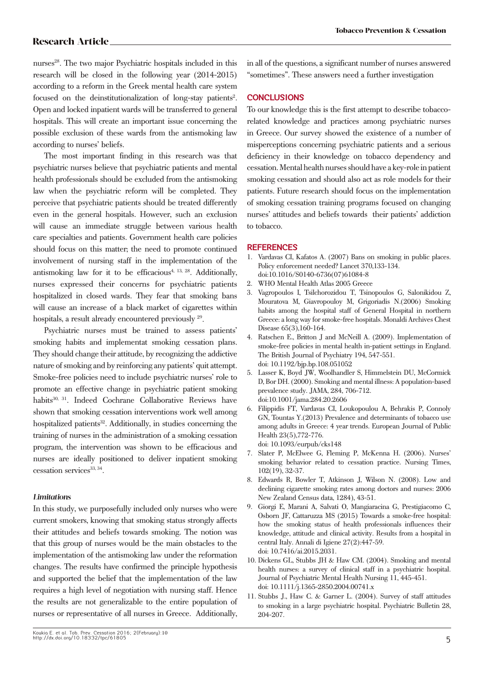nurses<sup>28</sup>. The two major Psychiatric hospitals included in this research will be closed in the following year (2014-2015) according to a reform in the Greek mental health care system focused on the deinstitutionalization of long-stay patients<sup>2</sup>. Open and locked inpatient wards will be transferred to general hospitals. This will create an important issue concerning the possible exclusion of these wards from the antismoking law according to nurses' beliefs.

The most important finding in this research was that psychiatric nurses believe that psychiatric patients and mental health professionals should be excluded from the antismoking law when the psychiatric reform will be completed. They perceive that psychiatric patients should be treated differently even in the general hospitals. However, such an exclusion will cause an immediate struggle between various health care specialties and patients. Government health care policies should focus on this matter; the need to promote continued involvement of nursing staff in the implementation of the antismoking law for it to be efficacious<sup>4, 13, 28</sup>. Additionally, nurses expressed their concerns for psychiatric patients hospitalized in closed wards. They fear that smoking bans will cause an increase of a black market of cigarettes within hospitals, a result already encountered previously 29.

Psychiatric nurses must be trained to assess patients' smoking habits and implementat smoking cessation plans. They should change their attitude, by recognizing the addictive nature of smoking and by reinforcing any patients' quit attempt. Smoke-free policies need to include psychiatric nurses' role to promote an effective change in psychiatric patient smoking habits<sup>30, 31</sup>. Indeed Cochrane Collaborative Reviews have shown that smoking cessation interventions work well among hospitalized patients<sup>32</sup>. Additionally, in studies concerning the training of nurses in the administration of a smoking cessation program, the intervention was shown to be efficacious and nurses are ideally positioned to deliver inpatient smoking cessation services<sup>33, 34</sup>.

#### *Limitations*

In this study, we purposefully included only nurses who were current smokers, knowing that smoking status strongly affects their attitudes and beliefs towards smoking. The notion was that this group of nurses would be the main obstacles to the implementation of the antismoking law under the reformation changes. The results have confirmed the principle hypothesis and supported the belief that the implementation of the law requires a high level of negotiation with nursing staff. Hence the results are not generalizable to the entire population of nurses or representative of all nurses in Greece. Additionally, in all of the questions, a significant number of nurses answered "sometimes". These answers need a further investigation

## **CONCLUSIONS**

To our knowledge this is the first attempt to describe tobaccorelated knowledge and practices among psychiatric nurses in Greece. Our survey showed the existence of a number of misperceptions concerning psychiatric patients and a serious deficiency in their knowledge on tobacco dependency and cessation. Mental health nurses should have a key-role in patient smoking cessation and should also act as role models for their patients. Future research should focus on the implementation of smoking cessation training programs focused on changing nurses' attitudes and beliefs towards their patients' addiction to tobacco.

#### **REFERENCES**

- 1. Vardavas CI, Kafatos A. (2007) Bans on smoking in public places. Policy enforcement needed? Lancet 370,133-134. doi:10.1016/S0140-6736(07)61084-8
- 2. WHO Mental Health Atlas 2005 Greece
- 3. Vagropoulos I, Tsilchorozidou T, Tsinopoulos G, Salonikidou Z, Mouratova M, Giavropouloy M, Grigoriadis N.(2006) Smoking habits among the hospital staff of General Hospital in northern Greece: a long way for smoke-free hospitals. Monaldi Archives Chest Disease 65(3),160-164.
- 4. Ratschen E., Britton J and McNeill A. (2009). Implementation of smoke-free policies in mental health in-patient settings in England. The British Journal of Psychiatry 194, 547-551. doi: 10.1192/bjp.bp.108.051052
- 5. Lasser K, Boyd JW, Woolhandler S, Himmelstein DU, McCormick D, Bor DH. (2000). Smoking and mental illness: A population-based prevalence study. JAMA, 284, 706-712. doi:10.1001/jama.284.20.2606
- 6. Filippidis FT, Vardavas CI, Loukopoulou A, Behrakis P, Connoly GN, Tountas Y.(2013) Prevalence and determinants of tobacco use among adults in Greece: 4 year trends. European Journal of Public Health 23(5),772-776. doi: 10.1093/eurpub/cks148
- 7. Slater P, McElwee G, Fleming P, McKenna H. (2006). Nurses' smoking behavior related to cessation practice. Nursing Times, 102(19), 32-37.
- 8. Edwards R, Bowler T, Atkinson J, Wilson N. (2008). Low and declining cigarette smoking rates among doctors and nurses: 2006 New Zealand Census data, 1284), 43-51.
- 9. Giorgi E, Marani A, Salvati O, Mangiaracina G, Prestigiacomo C, Osborn JF, Cattaruzza MS (2015) Towards a smoke-free hospital: how the smoking status of health professionals influences their knowledge, attitude and clinical activity. Results from a hospital in central Italy. Annali di Igiene 27(2):447-59. doi: 10.7416/ai.2015.2031.
- 10. Dickens GL, Stubbs JH & Haw CM. (2004). Smoking and mental health nurses: a survey of clinical staff in a psychiatric hospital. Journal of Psychiatric Mental Health Nursing 11, 445-451. doi: 10.1111/j.1365-2850.2004.00741.x
- 11. Stubbs J., Haw C. & Garner L. (2004). Survey of staff attitudes to smoking in a large psychiatric hospital. Psychiatric Bulletin 28, 204-207.